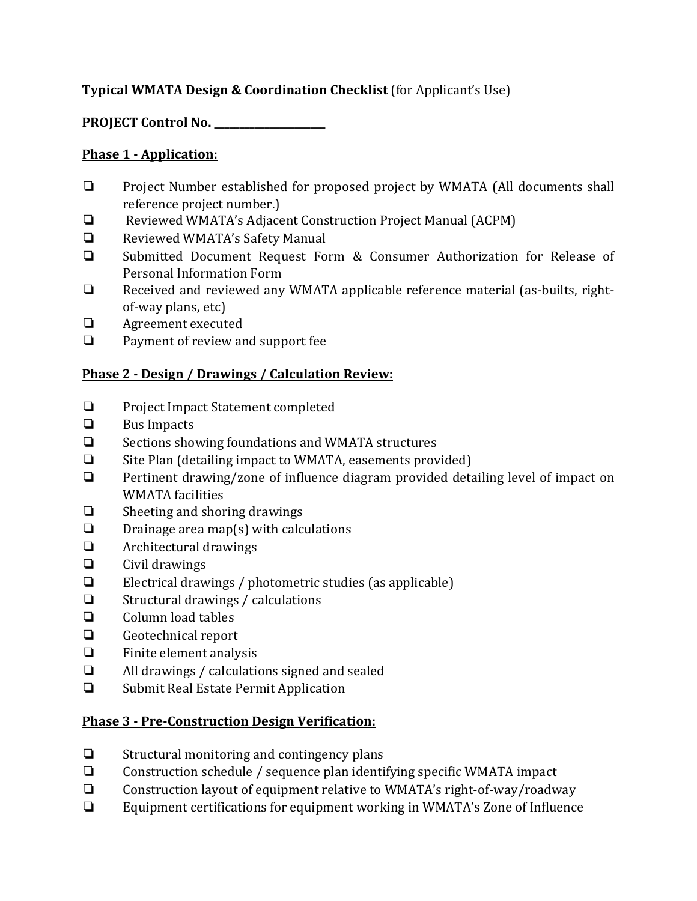# **Typical WMATA Design & Coordination Checklist** (for Applicant's Use)

**PROJECT Control No. \_\_\_\_\_\_\_\_\_\_\_\_\_\_\_\_\_\_\_\_\_\_**

#### **Phase 1 - Application:**

- ❏ Project Number established for proposed project by WMATA (All documents shall reference project number.)
- ❏ Reviewed WMATA's Adjacent Construction Project Manual (ACPM)
- ❏ Reviewed WMATA's Safety Manual
- ❏ Submitted Document Request Form & Consumer Authorization for Release of Personal Information Form
- ❏ Received and reviewed any WMATA applicable reference material (as-builts, rightof-way plans, etc)
- **□** Agreement executed<br>□ Payment of review are
- ❏ Payment of review and support fee

### **Phase 2 - Design / Drawings / Calculation Review:**

- ❏ Project Impact Statement completed
- ❏ Bus Impacts
- Sections showing foundations and WMATA structures
- ❏ Site Plan (detailing impact to WMATA, easements provided)
- Pertinent drawing/zone of influence diagram provided detailing level of impact on WMATA facilities
- ❏ Sheeting and shoring drawings
- $\Box$  Drainage area map(s) with calculations<br> $\Box$  Architectural drawings
- ❏ Architectural drawings
- ❏ Civil drawings
- Electrical drawings / photometric studies (as applicable)
- $\Box$  Structural drawings / calculations<br> $\Box$  Column load tables
- ❏ Column load tables
- ❏ Geotechnical report
- ❏ Finite element analysis
- ❏ All drawings / calculations signed and sealed
- ❏ Submit Real Estate Permit Application

#### **Phase 3 - Pre-Construction Design Verification:**

- ❏ Structural monitoring and contingency plans
- ❏ Construction schedule / sequence plan identifying specific WMATA impact
- ❏ Construction layout of equipment relative to WMATA's right-of-way/roadway
- Equipment certifications for equipment working in WMATA's Zone of Influence